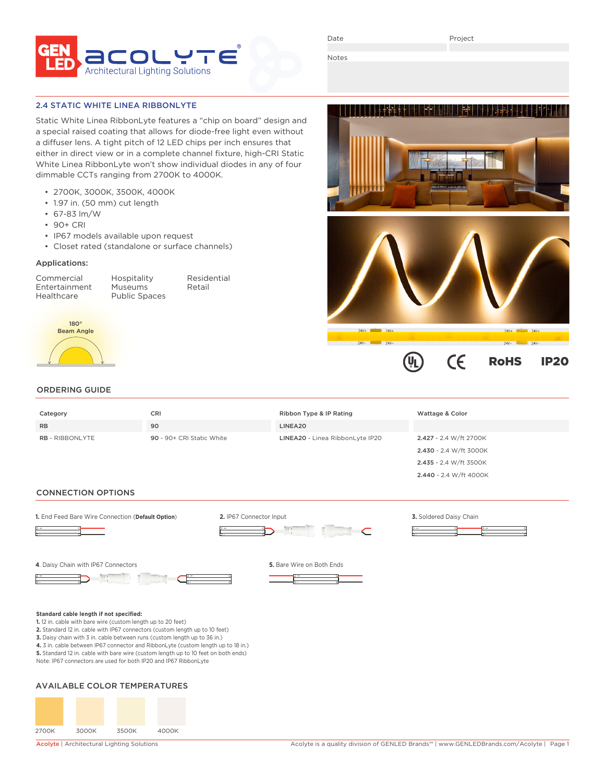

Date

Project

Notes

## 2.4 STATIC WHITE LINEA RIBBONLYTE

Static White Linea RibbonLyte features a "chip on board" design and a special raised coating that allows for diode-free light even without a diffuser lens. A tight pitch of 12 LED chips per inch ensures that either in direct view or in a complete channel fixture, high-CRI Static White Linea RibbonLyte won't show individual diodes in any of four dimmable CCTs ranging from 2700K to 4000K.

- 2700K, 3000K, 3500K, 4000K
- 1.97 in. (50 mm) cut length
- 67-83 lm/W
- 90+ CRI
- IP67 models available upon request
- Closet rated (standalone or surface channels)

## Applications:

Commercial Hospitality Residential Entertainment<br>Healthcare

Public Spaces



# ORDERING GUIDE

| Category               | <b>CRI</b>                | Ribbon Type & IP Rating         | Wattage & Color        |
|------------------------|---------------------------|---------------------------------|------------------------|
| <b>RB</b>              | 90                        | LINEA20                         |                        |
| <b>RB</b> - RIBBONLYTE | 90 - 90+ CRI Static White | LINEA20 - Linea RibbonLyte IP20 | 2.427 - 2.4 W/ft 2700K |
|                        |                           |                                 | 2.430 - 2.4 W/ft 3000K |
|                        |                           |                                 | 2.435 - 2.4 W/ft 3500K |
|                        |                           |                                 | 2.440 - 2.4 W/ft 4000K |

### CONNECTION OPTIONS



**3.** Daisy chain with 3 in. cable between runs (custom length up to 36 in.)

**4.** 3 in. cable between IP67 connector and RibbonLyte (custom length up to 18 in.)

**5.** Standard 12 in. cable with bare wire (custom length up to 10 feet on both ends)

Note: IP67 connectors are used for both IP20 and IP67 RibbonLyte

# AVAILABLE COLOR TEMPERATURES



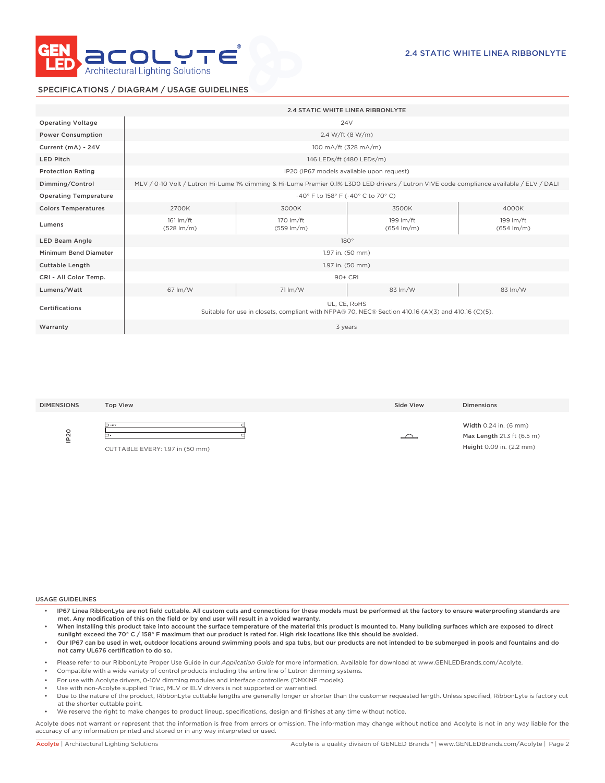

# SPECIFICATIONS / DIAGRAM / USAGE GUIDELINES

|                              | <b>2.4 STATIC WHITE LINEA RIBBONLYTE</b>                                                                                                 |                                     |                                     |                                     |  |
|------------------------------|------------------------------------------------------------------------------------------------------------------------------------------|-------------------------------------|-------------------------------------|-------------------------------------|--|
| <b>Operating Voltage</b>     | 24 <sub>V</sub>                                                                                                                          |                                     |                                     |                                     |  |
| <b>Power Consumption</b>     | 2.4 W/ft (8 W/m)                                                                                                                         |                                     |                                     |                                     |  |
| Current (mA) - 24V           | 100 mA/ft (328 mA/m)                                                                                                                     |                                     |                                     |                                     |  |
| <b>LED Pitch</b>             | 146 LEDs/ft (480 LEDs/m)                                                                                                                 |                                     |                                     |                                     |  |
| <b>Protection Rating</b>     | IP20 (IP67 models available upon request)                                                                                                |                                     |                                     |                                     |  |
| Dimming/Control              | MLV / 0-10 Volt / Lutron Hi-Lume 1% dimming & Hi-Lume Premier 0.1% L3D0 LED drivers / Lutron VIVE code compliance available / ELV / DALI |                                     |                                     |                                     |  |
| <b>Operating Temperature</b> | -40° F to 158° F (-40° C to 70° C)                                                                                                       |                                     |                                     |                                     |  |
| <b>Colors Temperatures</b>   | 2700K                                                                                                                                    | 3000K                               | 3500K                               | 4000K                               |  |
| Lumens                       | $161 \text{ Im/ft}$<br>$(528 \, \text{Im/m})$                                                                                            | 170 lm/ft<br>$(559 \, \text{Im/m})$ | 199 lm/ft<br>$(654 \, \text{Im/m})$ | 199 lm/ft<br>$(654 \, \text{Im/m})$ |  |
| <b>LED Beam Angle</b>        | $180^\circ$                                                                                                                              |                                     |                                     |                                     |  |
| Minimum Bend Diameter        | 1.97 in. (50 mm)                                                                                                                         |                                     |                                     |                                     |  |
| <b>Cuttable Length</b>       | 1.97 in. (50 mm)                                                                                                                         |                                     |                                     |                                     |  |
| CRI - All Color Temp.        | 90+ CRI                                                                                                                                  |                                     |                                     |                                     |  |
| Lumens/Watt                  | $67 \, \text{Im}/\text{W}$                                                                                                               | $71 \, \text{Im}/\text{W}$          | 83 lm/W                             | 83 lm/W                             |  |
| Certifications               | UL. CE. RoHS<br>Suitable for use in closets, compliant with NFPA® 70, NEC® Section 410.16 (A)(3) and 410.16 (C)(5).                      |                                     |                                     |                                     |  |
| Warranty                     | 3 years                                                                                                                                  |                                     |                                     |                                     |  |

| <b>DIMENSIONS</b>            | <b>Top View</b>                                       | Side View | <b>Dimensions</b>                                                               |
|------------------------------|-------------------------------------------------------|-----------|---------------------------------------------------------------------------------|
| $\circ$<br>$\bar{\sim}$<br>宣 | $\rightarrow$ +24V<br>CUTTABLE EVERY: 1.97 in (50 mm) |           | Width 0.24 in. (6 mm)<br>Max Length 21.3 ft (6.5 m)<br>Height 0.09 in. (2.2 mm) |

#### USAGE GUIDELINES

- IP67 Linea RibbonLyte are not field cuttable. All custom cuts and connections for these models must be performed at the factory to ensure waterproofing standards are met. Any modification of this on the field or by end user will result in a voided warranty.
- When installing this product take into account the surface temperature of the material this product is mounted to. Many building surfaces which are exposed to direct sunlight exceed the 70° C / 158° F maximum that our product is rated for. High risk locations like this should be avoided.
- Our IP67 can be used in wet, outdoor locations around swimming pools and spa tubs, but our products are not intended to be submerged in pools and fountains and do not carry UL676 certification to do so.
- Please refer to our RibbonLyte Proper Use Guide in our *Application Guide* for more information. Available for download at www.GENLEDBrands.com/Acolyte.
- Compatible with a wide variety of control products including the entire line of Lutron dimming systems.
- For use with Acolyte drivers, 0-10V dimming modules and interface controllers (DMXINF models).
- Use with non-Acolyte supplied Triac, MLV or ELV drivers is not supported or warrantied.
- Due to the nature of the product, RibbonLyte cuttable lengths are generally longer or shorter than the customer requested length. Unless specified, RibbonLyte is factory cut at the shorter cuttable point.
- We reserve the right to make changes to product lineup, specifications, design and finishes at any time without notice.

Acolyte does not warrant or represent that the information is free from errors or omission. The information may change without notice and Acolyte is not in any way liable for the accuracy of any information printed and stored or in any way interpreted or used.